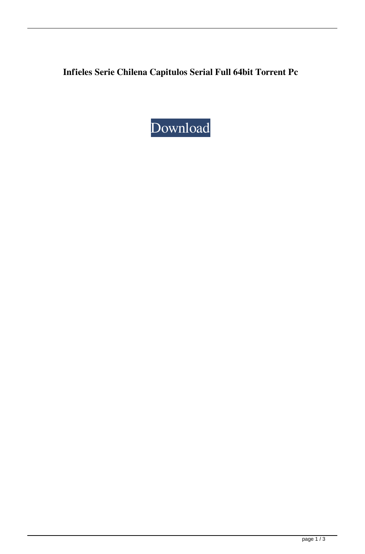**Infieles Serie Chilena Capitulos Serial Full 64bit Torrent Pc**

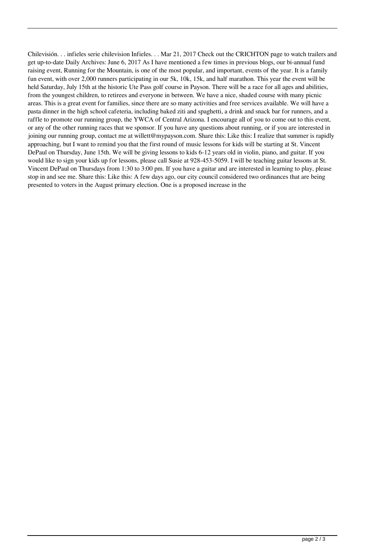Chilevisión. . . infieles serie chilevision Infieles. . . Mar 21, 2017 Check out the CRICHTON page to watch trailers and get up-to-date Daily Archives: June 6, 2017 As I have mentioned a few times in previous blogs, our bi-annual fund raising event, Running for the Mountain, is one of the most popular, and important, events of the year. It is a family fun event, with over 2,000 runners participating in our 5k, 10k, 15k, and half marathon. This year the event will be held Saturday, July 15th at the historic Ute Pass golf course in Payson. There will be a race for all ages and abilities, from the youngest children, to retirees and everyone in between. We have a nice, shaded course with many picnic areas. This is a great event for families, since there are so many activities and free services available. We will have a pasta dinner in the high school cafeteria, including baked ziti and spaghetti, a drink and snack bar for runners, and a raffle to promote our running group, the YWCA of Central Arizona. I encourage all of you to come out to this event, or any of the other running races that we sponsor. If you have any questions about running, or if you are interested in joining our running group, contact me at willett@mypayson.com. Share this: Like this: I realize that summer is rapidly approaching, but I want to remind you that the first round of music lessons for kids will be starting at St. Vincent DePaul on Thursday, June 15th. We will be giving lessons to kids 6-12 years old in violin, piano, and guitar. If you would like to sign your kids up for lessons, please call Susie at 928-453-5059. I will be teaching guitar lessons at St. Vincent DePaul on Thursdays from 1:30 to 3:00 pm. If you have a guitar and are interested in learning to play, please stop in and see me. Share this: Like this: A few days ago, our city council considered two ordinances that are being presented to voters in the August primary election. One is a proposed increase in the